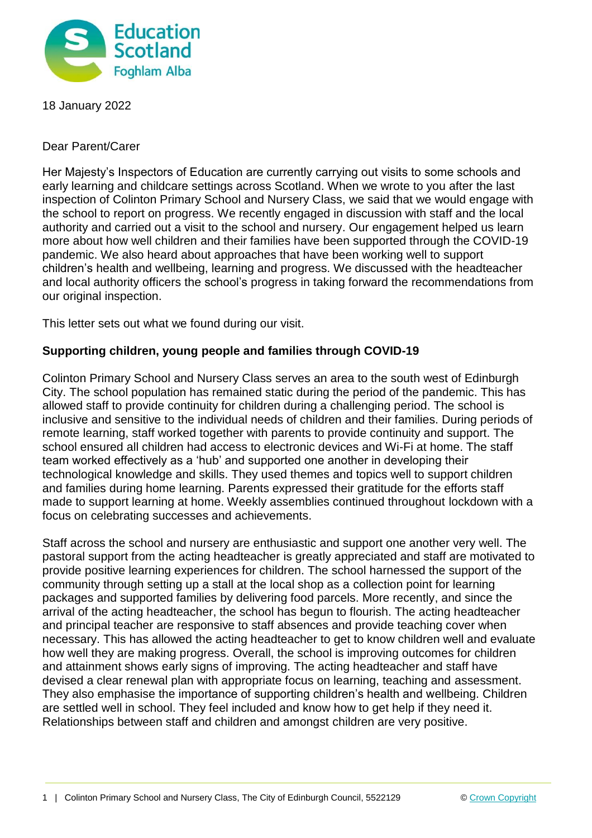

18 January 2022

Dear Parent/Carer

Her Majesty's Inspectors of Education are currently carrying out visits to some schools and early learning and childcare settings across Scotland. When we wrote to you after the last inspection of Colinton Primary School and Nursery Class, we said that we would engage with the school to report on progress. We recently engaged in discussion with staff and the local authority and carried out a visit to the school and nursery. Our engagement helped us learn more about how well children and their families have been supported through the COVID-19 pandemic. We also heard about approaches that have been working well to support children's health and wellbeing, learning and progress. We discussed with the headteacher and local authority officers the school's progress in taking forward the recommendations from our original inspection.

This letter sets out what we found during our visit.

## **Supporting children, young people and families through COVID-19**

Colinton Primary School and Nursery Class serves an area to the south west of Edinburgh City. The school population has remained static during the period of the pandemic. This has allowed staff to provide continuity for children during a challenging period. The school is inclusive and sensitive to the individual needs of children and their families. During periods of remote learning, staff worked together with parents to provide continuity and support. The school ensured all children had access to electronic devices and Wi-Fi at home. The staff team worked effectively as a 'hub' and supported one another in developing their technological knowledge and skills. They used themes and topics well to support children and families during home learning. Parents expressed their gratitude for the efforts staff made to support learning at home. Weekly assemblies continued throughout lockdown with a focus on celebrating successes and achievements.

Staff across the school and nursery are enthusiastic and support one another very well. The pastoral support from the acting headteacher is greatly appreciated and staff are motivated to provide positive learning experiences for children. The school harnessed the support of the community through setting up a stall at the local shop as a collection point for learning packages and supported families by delivering food parcels. More recently, and since the arrival of the acting headteacher, the school has begun to flourish. The acting headteacher and principal teacher are responsive to staff absences and provide teaching cover when necessary. This has allowed the acting headteacher to get to know children well and evaluate how well they are making progress. Overall, the school is improving outcomes for children and attainment shows early signs of improving. The acting headteacher and staff have devised a clear renewal plan with appropriate focus on learning, teaching and assessment. They also emphasise the importance of supporting children's health and wellbeing. Children are settled well in school. They feel included and know how to get help if they need it. Relationships between staff and children and amongst children are very positive.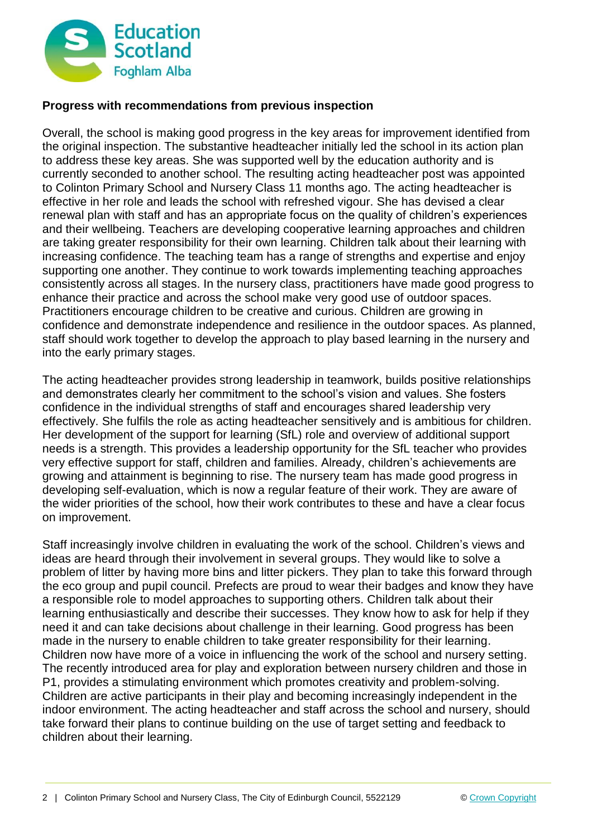

## **Progress with recommendations from previous inspection**

Overall, the school is making good progress in the key areas for improvement identified from the original inspection. The substantive headteacher initially led the school in its action plan to address these key areas. She was supported well by the education authority and is currently seconded to another school. The resulting acting headteacher post was appointed to Colinton Primary School and Nursery Class 11 months ago. The acting headteacher is effective in her role and leads the school with refreshed vigour. She has devised a clear renewal plan with staff and has an appropriate focus on the quality of children's experiences and their wellbeing. Teachers are developing cooperative learning approaches and children are taking greater responsibility for their own learning. Children talk about their learning with increasing confidence. The teaching team has a range of strengths and expertise and enjoy supporting one another. They continue to work towards implementing teaching approaches consistently across all stages. In the nursery class, practitioners have made good progress to enhance their practice and across the school make very good use of outdoor spaces. Practitioners encourage children to be creative and curious. Children are growing in confidence and demonstrate independence and resilience in the outdoor spaces. As planned, staff should work together to develop the approach to play based learning in the nursery and into the early primary stages.

The acting headteacher provides strong leadership in teamwork, builds positive relationships and demonstrates clearly her commitment to the school's vision and values. She fosters confidence in the individual strengths of staff and encourages shared leadership very effectively. She fulfils the role as acting headteacher sensitively and is ambitious for children. Her development of the support for learning (SfL) role and overview of additional support needs is a strength. This provides a leadership opportunity for the SfL teacher who provides very effective support for staff, children and families. Already, children's achievements are growing and attainment is beginning to rise. The nursery team has made good progress in developing self-evaluation, which is now a regular feature of their work. They are aware of the wider priorities of the school, how their work contributes to these and have a clear focus on improvement.

Staff increasingly involve children in evaluating the work of the school. Children's views and ideas are heard through their involvement in several groups. They would like to solve a problem of litter by having more bins and litter pickers. They plan to take this forward through the eco group and pupil council. Prefects are proud to wear their badges and know they have a responsible role to model approaches to supporting others. Children talk about their learning enthusiastically and describe their successes. They know how to ask for help if they need it and can take decisions about challenge in their learning. Good progress has been made in the nursery to enable children to take greater responsibility for their learning. Children now have more of a voice in influencing the work of the school and nursery setting. The recently introduced area for play and exploration between nursery children and those in P1, provides a stimulating environment which promotes creativity and problem-solving. Children are active participants in their play and becoming increasingly independent in the indoor environment. The acting headteacher and staff across the school and nursery, should take forward their plans to continue building on the use of target setting and feedback to children about their learning.